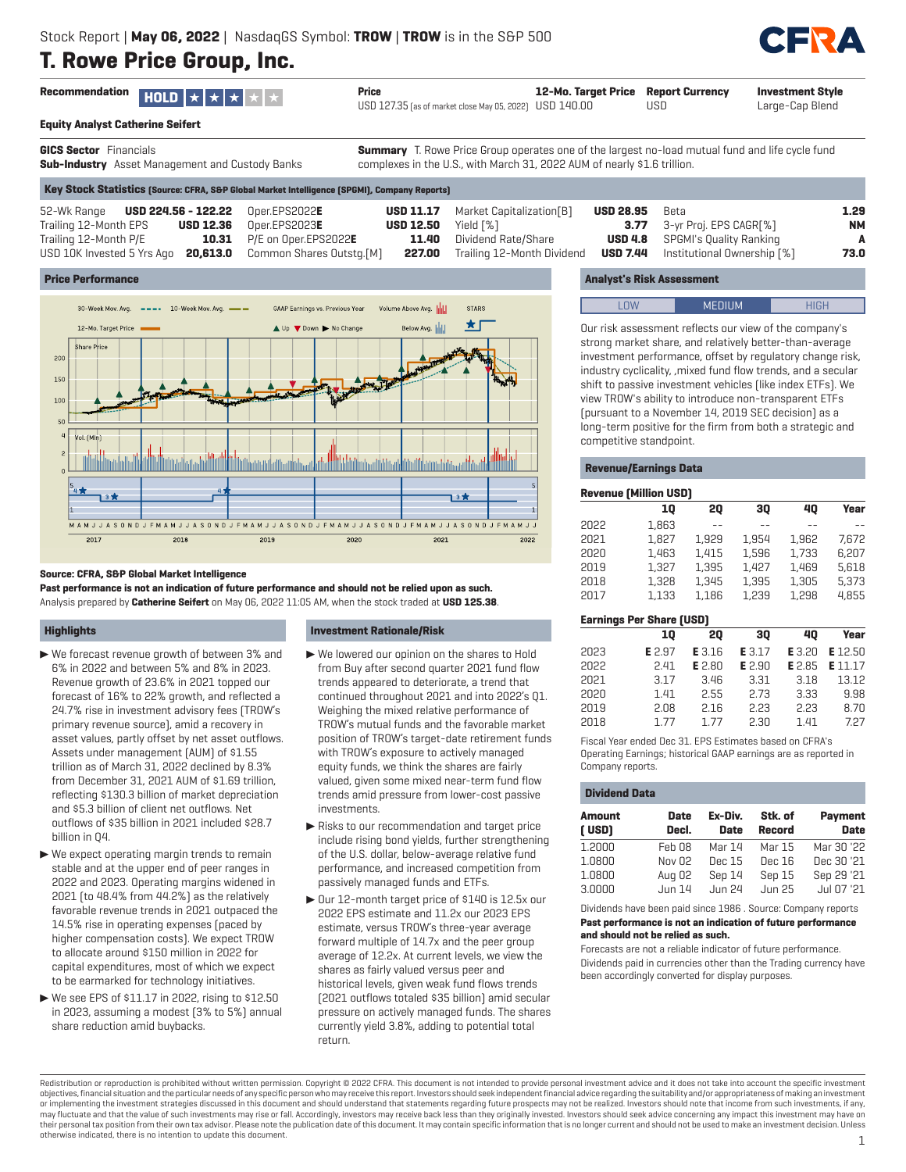

|                   | Recommendation $HOLD \times   \star   \star   \star  $ | Price                                                   | 12-Mo. Target Price Report Currency |     | <b>Investment Style</b> |
|-------------------|--------------------------------------------------------|---------------------------------------------------------|-------------------------------------|-----|-------------------------|
|                   |                                                        | USD 127.35 (as of market close May 05, 2022) USD 140.00 |                                     | USD | Large-Cap Blend         |
| _ _ _ _ _ _ _ _ _ |                                                        |                                                         |                                     |     |                         |

**Equity Analyst Catherine Seifert**

**GICS Sector** Financials

**Sub-Industry** Asset Management and Custody Banks

**Summary** T. Rowe Price Group operates one of the largest no-load mutual fund and life cycle fund complexes in the U.S., with March 31, 2022 AUM of nearly \$1.6 trillion.

| 52-Wk Range <b>USD 224.56 - 122.22</b> Oper.EPS2022E         |                                   |                                          | <b>USD 11.17</b> Market Capitalization[B] | USD 28.95 | Beta                                        | 1.29      |
|--------------------------------------------------------------|-----------------------------------|------------------------------------------|-------------------------------------------|-----------|---------------------------------------------|-----------|
| Trailing 12-Month EPS                                        | $\text{USD 12.36}$ Oper.EPS2023E  | <b>USD 12.50</b> Yield $\lceil % \rceil$ |                                           |           | <b>3.77</b> 3-yr Proj. EPS CAGR[%]          | <b>NM</b> |
| Trailing 12-Month P/E                                        | <b>10.31</b> P/E on Oper.EPS2022E |                                          | <b>11.40</b> Dividend Rate/Share          |           | <b>USD 4.8</b> SPGMI's Quality Ranking      | A         |
| USD 10K Invested 5 Yrs Ago 20,613.0 Common Shares Outstg.[M] |                                   |                                          | <b>227.00</b> Trailing 12-Month Dividend  |           | <b>USD 7.44</b> Institutional Ownership [%] | 73.0      |

## **Price Performance**



#### **Source: CFRA, S&P Global Market Intelligence**

**Past performance is not an indication of future performance and should not be relied upon as such.** Analysis prepared by **Catherine Seifert** on May 06, 2022 11:05 AM, when the stock traded at **USD 125.38**.

#### **Highlights**

- $\blacktriangleright$  We forecast revenue growth of between 3% and 6% in 2022 and between 5% and 8% in 2023. Revenue growth of 23.6% in 2021 topped our forecast of 16% to 22% growth, and reflected a 24.7% rise in investment advisory fees (TROW's primary revenue source), amid a recovery in asset values, partly offset by net asset outflows. Assets under management (AUM) of \$1.55 trillion as of March 31, 2022 declined by 8.3% from December 31, 2021 AUM of \$1.69 trillion, reflecting \$130.3 billion of market depreciation and \$5.3 billion of client net outflows. Net outflows of \$35 billion in 2021 included \$28.7 billion in Q4.
- $\blacktriangleright$  We expect operating margin trends to remain stable and at the upper end of peer ranges in 2022 and 2023. Operating margins widened in 2021 (to 48.4% from 44.2%) as the relatively favorable revenue trends in 2021 outpaced the 14.5% rise in operating expenses (paced by higher compensation costs). We expect TROW to allocate around \$150 million in 2022 for capital expenditures, most of which we expect to be earmarked for technology initiatives.
- $\blacktriangleright$  We see EPS of \$11.17 in 2022, rising to \$12.50 in 2023, assuming a modest (3% to 5%) annual share reduction amid buybacks.

#### **Investment Rationale/Risk**

- $\blacktriangleright$  We lowered our opinion on the shares to Hold from Buy after second quarter 2021 fund flow trends appeared to deteriorate, a trend that continued throughout 2021 and into 2022's Q1. Weighing the mixed relative performance of TROW's mutual funds and the favorable market position of TROW's target-date retirement funds with TROW's exposure to actively managed equity funds, we think the shares are fairly valued, given some mixed near-term fund flow trends amid pressure from lower-cost passive investments.
- $\blacktriangleright$  Risks to our recommendation and target price include rising bond yields, further strengthening of the U.S. dollar, below-average relative fund performance, and increased competition from passively managed funds and ETFs.
- $\triangleright$  Our 12-month target price of \$140 is 12.5x our 2022 EPS estimate and 11.2x our 2023 EPS estimate, versus TROW's three-year average forward multiple of 14.7x and the peer group average of 12.2x. At current levels, we view the shares as fairly valued versus peer and historical levels, given weak fund flows trends (2021 outflows totaled \$35 billion) amid secular pressure on actively managed funds. The shares currently yield 3.8%, adding to potential total return.

## **Analyst's Risk Assessment**

| I | $    +$ $+$ $+$ $-$<br>. |  |
|---|--------------------------|--|
|   |                          |  |

Our risk assessment reflects our view of the company's strong market share, and relatively better-than-average investment performance, offset by regulatory change risk, industry cyclicality, ,mixed fund flow trends, and a secular shift to passive investment vehicles (like index ETFs). We view TROW's ability to introduce non-transparent ETFs (pursuant to a November 14, 2019 SEC decision) as a long-term positive for the firm from both a strategic and competitive standpoint.

#### **Revenue/Earnings Data**

| <b>Revenue (Million USD)</b> |                                 |               |        |        |         |  |  |  |  |
|------------------------------|---------------------------------|---------------|--------|--------|---------|--|--|--|--|
|                              | 10                              | 20            | 30     | 40     | Year    |  |  |  |  |
| 2022                         | 1.863                           |               |        |        |         |  |  |  |  |
| 2021                         | 1.827                           | 1.929         | 1.954  | 1.962  | 7.672   |  |  |  |  |
| 2020                         | 1.463                           | 1.415         | 1.596  | 1.733  | 6.207   |  |  |  |  |
| 2019                         | 1.327                           | 1.395         | 1.427  | 1.469  | 5.618   |  |  |  |  |
| 2018                         | 1.328                           | 1.345         | 1.395  | 1.305  | 5.373   |  |  |  |  |
| 2017                         | 1.133                           | 1.186         | 1.239  | 1.298  | 4.855   |  |  |  |  |
|                              | <b>Earnings Per Share (USD)</b> |               |        |        |         |  |  |  |  |
|                              | 10                              | 20            | 30     | 40     | Year    |  |  |  |  |
| 2023                         | E 2.97                          | E3.16         | E 3.17 | E 3.20 | E 12.50 |  |  |  |  |
| 2022                         | 2.41                            | <b>E</b> 2.80 | E 2.90 | E 2.85 | E 11.17 |  |  |  |  |
| 2021                         | 3.17                            | 3.46          | 3.31   | 3.18   | 13.12   |  |  |  |  |
| 2020                         | 1.41                            | 2.55          | 2.73   | 3.33   | 9.98    |  |  |  |  |

Fiscal Year ended Dec 31. EPS Estimates based on CFRA's Operating Earnings; historical GAAP earnings are as reported in Company reports.

2019 2.08 2.16 2.23 2.23 8.70 2018 1.77 1.77 2.30 1.41 7.27

#### **Dividend Data**

| <b>Amount</b><br>[USD] | <b>Date</b><br>Decl. | Ex-Div.<br>Date | Stk. of<br><b>Record</b> | <b>Payment</b><br><b>Date</b> |
|------------------------|----------------------|-----------------|--------------------------|-------------------------------|
| 1,2000                 | Feb 08               | Mar 14          | Mar 15                   | Mar 30 '22                    |
| 1.0800                 | Nov 02               | Dec 15          | Dec 16                   | Dec 30 '21                    |
| 1.0800                 | Aug 02               | Sep 14          | Sep 15                   | Sep 29 '21                    |
| 3.0000                 | <b>Jun 14</b>        | <b>Jun 24</b>   | <b>Jun 25</b>            | Jul 07 '21                    |

Dividends have been paid since 1986 . Source: Company reports **Past performance is not an indication of future performance and should not be relied as such.**

Forecasts are not a reliable indicator of future performance. Dividends paid in currencies other than the Trading currency have been accordingly converted for display purposes.

Redistribution or reproduction is prohibited without written permission. Copyright © 2022 CFRA. This document is not intended to provide personal investment advice and it does not take into account the specific investment objectives, financial situation and the particular needs of any specific person who may receive this report. Investors should seek independent financial advice regarding the suitability and/or appropriateness of making an or implementing the investment strategies discussed in this document and should understand that statements regarding future prospects may not be realized. Investors should note that income from such investments, if any, may fluctuate and that the value of such investments may rise or fall. Accordingly, investors may receive back less than they originally invested. Investors should seek advice concerning any impact this investment may have their personal tax position from their own tax advisor. Please note the publication date of this document. It may contain specific information that is no longer current and should not be used to make an investment decision otherwise indicated, there is no intention to update this document. 1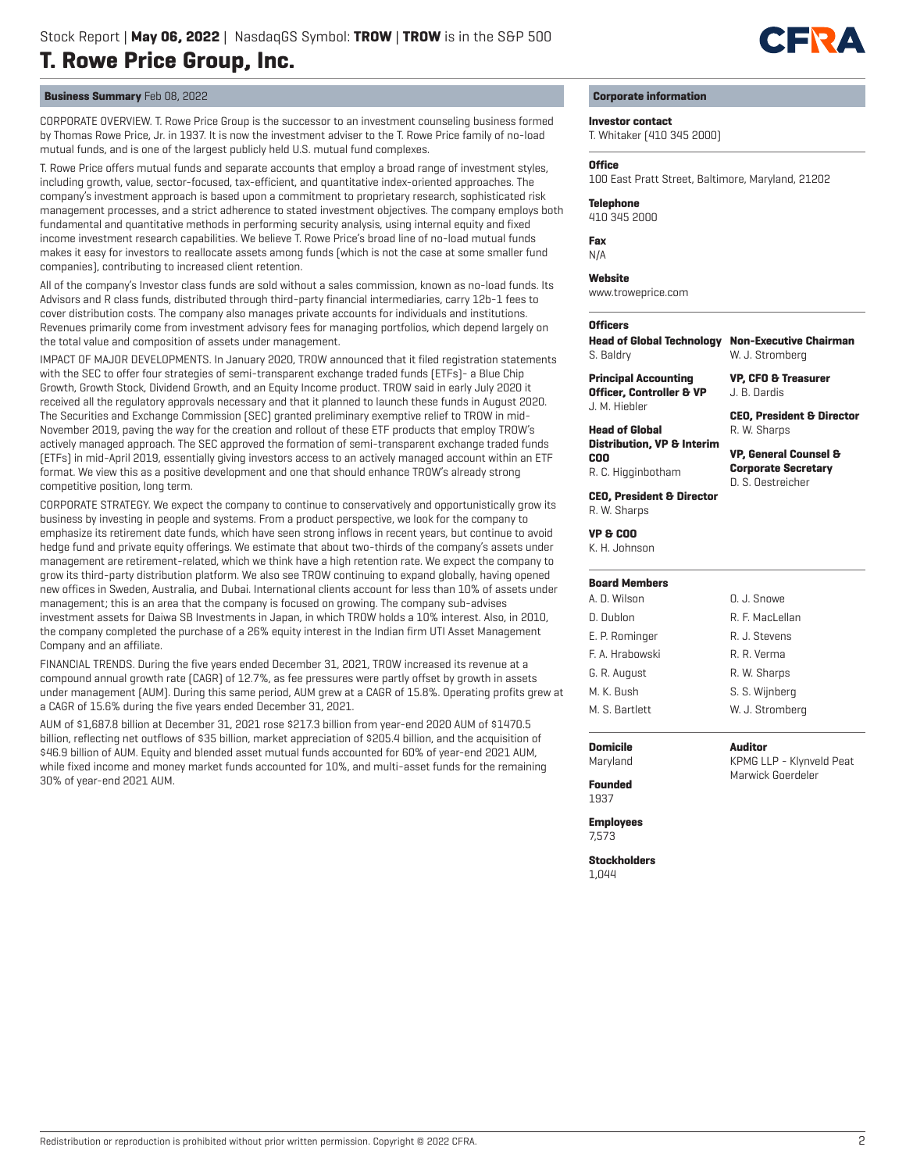

## **Business Summary** Feb 08, 2022

CORPORATE OVERVIEW. T. Rowe Price Group is the successor to an investment counseling business formed by Thomas Rowe Price, Jr. in 1937. It is now the investment adviser to the T. Rowe Price family of no-load mutual funds, and is one of the largest publicly held U.S. mutual fund complexes.

T. Rowe Price offers mutual funds and separate accounts that employ a broad range of investment styles, including growth, value, sector-focused, tax-efficient, and quantitative index-oriented approaches. The company's investment approach is based upon a commitment to proprietary research, sophisticated risk management processes, and a strict adherence to stated investment objectives. The company employs both fundamental and quantitative methods in performing security analysis, using internal equity and fixed income investment research capabilities. We believe T. Rowe Price's broad line of no-load mutual funds makes it easy for investors to reallocate assets among funds (which is not the case at some smaller fund companies), contributing to increased client retention.

All of the company's Investor class funds are sold without a sales commission, known as no-load funds. Its Advisors and R class funds, distributed through third-party financial intermediaries, carry 12b-1 fees to cover distribution costs. The company also manages private accounts for individuals and institutions. Revenues primarily come from investment advisory fees for managing portfolios, which depend largely on the total value and composition of assets under management.

IMPACT OF MAJOR DEVELOPMENTS. In January 2020, TROW announced that it filed registration statements with the SEC to offer four strategies of semi-transparent exchange traded funds (ETFs)- a Blue Chip Growth, Growth Stock, Dividend Growth, and an Equity Income product. TROW said in early July 2020 it received all the regulatory approvals necessary and that it planned to launch these funds in August 2020. The Securities and Exchange Commission (SEC) granted preliminary exemptive relief to TROW in mid-November 2019, paving the way for the creation and rollout of these ETF products that employ TROW's actively managed approach. The SEC approved the formation of semi-transparent exchange traded funds (ETFs) in mid-April 2019, essentially giving investors access to an actively managed account within an ETF format. We view this as a positive development and one that should enhance TROW's already strong competitive position, long term.

CORPORATE STRATEGY. We expect the company to continue to conservatively and opportunistically grow its business by investing in people and systems. From a product perspective, we look for the company to emphasize its retirement date funds, which have seen strong inflows in recent years, but continue to avoid hedge fund and private equity offerings. We estimate that about two-thirds of the company's assets under management are retirement-related, which we think have a high retention rate. We expect the company to grow its third-party distribution platform. We also see TROW continuing to expand globally, having opened new offices in Sweden, Australia, and Dubai. International clients account for less than 10% of assets under management; this is an area that the company is focused on growing. The company sub-advises investment assets for Daiwa SB Investments in Japan, in which TROW holds a 10% interest. Also, in 2010, the company completed the purchase of a 26% equity interest in the Indian firm UTI Asset Management Company and an affiliate.

FINANCIAL TRENDS. During the five years ended December 31, 2021, TROW increased its revenue at a compound annual growth rate (CAGR) of 12.7%, as fee pressures were partly offset by growth in assets under management (AUM). During this same period, AUM grew at a CAGR of 15.8%. Operating profits grew at a CAGR of 15.6% during the five years ended December 31, 2021.

AUM of \$1,687.8 billion at December 31, 2021 rose \$217.3 billion from year-end 2020 AUM of \$1470.5 billion, reflecting net outflows of \$35 billion, market appreciation of \$205.4 billion, and the acquisition of \$46.9 billion of AUM. Equity and blended asset mutual funds accounted for 60% of year-end 2021 AUM, while fixed income and money market funds accounted for 10%, and multi-asset funds for the remaining 30% of year-end 2021 AUM.

## **Corporate information**

**Investor contact**

T. Whitaker (410 345 2000)

### **Office**

100 East Pratt Street, Baltimore, Maryland, 21202

**Telephone**

410 345 2000

**Fax** N/A

## **Website**

www.troweprice.com

### **Officers**

**Head of Global Technology Non-Executive Chairman** S. Baldry

**Principal Accounting Officer, Controller & VP** J. M. Hiebler

**Head of Global** 

R. C. Higginbotham

**COO**

**CEO, President & Director** R. W. Sharps

W. J. Stromberg **VP, CFO & Treasurer** J. B. Dardis

**Distribution, VP & Interim VP, General Counsel & Corporate Secretary** D. S. Oestreicher

**CEO, President & Director** R. W. Sharps

**VP & COO**

K. H. Johnson

| A. D. Wilson    | O. J. Snowe     |
|-----------------|-----------------|
| D. Dublon       | R. F. MacLellan |
| E. P. Rominger  | R. J. Stevens   |
| F. A. Hrabowski | R. R. Verma     |
| G. R. August    | R. W. Sharps    |
| M. K. Bush      | S. S. Wijnberg  |
| M. S. Bartlett  | W. J. Stromberg |

**Domicile** Maryland **Auditor** KPMG LLP - Klynveld Peat Marwick Goerdeler

**Founded** 1937

**Employees** 7,573

**Stockholders** 1,044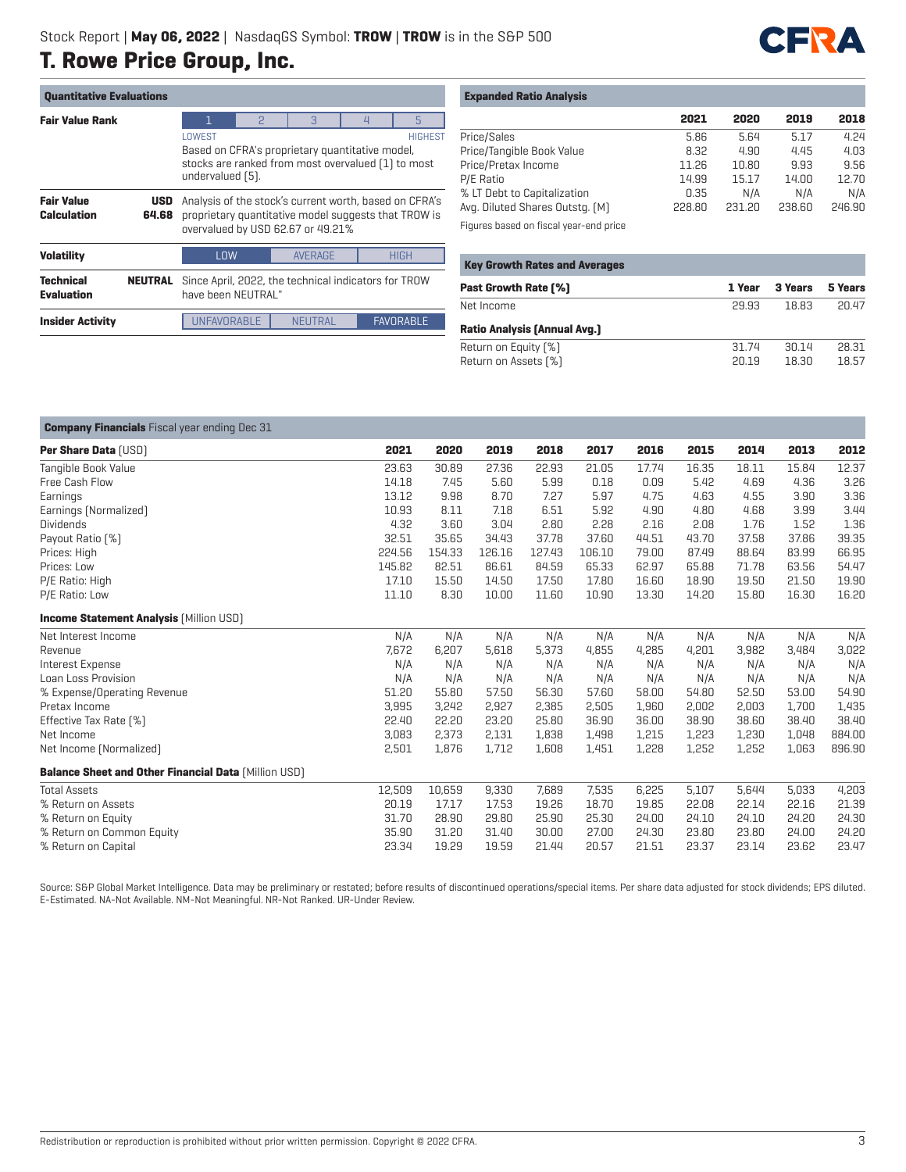

| <b>Quantitative Evaluations</b>         |                     |                                                                                                                                                       |                                                                                                                                                     |                |        |                  |  |  |  |  |
|-----------------------------------------|---------------------|-------------------------------------------------------------------------------------------------------------------------------------------------------|-----------------------------------------------------------------------------------------------------------------------------------------------------|----------------|--------|------------------|--|--|--|--|
| <b>Fair Value Rank</b>                  |                     | ī.                                                                                                                                                    | P                                                                                                                                                   | 3              | $\Box$ | 5                |  |  |  |  |
|                                         |                     | LOWEST<br><b>HIGHEST</b><br>Based on CFRA's proprietary quantitative model,<br>stocks are ranked from most overvalued [1] to most<br>undervalued [5]. |                                                                                                                                                     |                |        |                  |  |  |  |  |
| <b>Fair Value</b><br><b>Calculation</b> | <b>USD</b><br>64.68 |                                                                                                                                                       | Analysis of the stock's current worth, based on CFRA's<br>proprietary quantitative model suggests that TROW is<br>overvalued by USD 62.67 or 49.21% |                |        |                  |  |  |  |  |
| <b>Volatility</b>                       |                     | <b>HIGH</b><br>LOW<br><b>AVERAGE</b>                                                                                                                  |                                                                                                                                                     |                |        |                  |  |  |  |  |
| <b>Technical</b><br><b>Evaluation</b>   | <b>NEUTRAL</b>      | Since April, 2022, the technical indicators for TROW<br>have been NEUTRAL"                                                                            |                                                                                                                                                     |                |        |                  |  |  |  |  |
| <b>Insider Activity</b>                 |                     | UNFAVORABLE                                                                                                                                           |                                                                                                                                                     | <b>NEUTRAL</b> |        | <b>FAVORABLE</b> |  |  |  |  |

## **Expanded Ratio Analysis**

|                                 | 2021   | 2020   | 2019   | 2018   |
|---------------------------------|--------|--------|--------|--------|
| Price/Sales                     | 5.86   | 5.64   | 5.17   | 4.24   |
| Price/Tangible Book Value       | 8.32   | 4.90   | 4.45   | 4.03   |
| Price/Pretax Income             | 11.26  | 10.80  | 9.93   | 9.56   |
| P/E Ratio                       | 14.99  | 15.17  | 14.00  | 12.70  |
| % LT Debt to Capitalization     | 0.35   | N/A    | N/A    | N/A    |
| Avg. Diluted Shares Outstg. [M] | 228.80 | 231.20 | 238.60 | 246.90 |
|                                 |        |        |        |        |

Figures based on fiscal year-end price

| <b>Key Growth Rates and Averages</b> |        |         |         |
|--------------------------------------|--------|---------|---------|
| <b>Past Growth Rate [%]</b>          | 1 Year | 3 Years | 5 Years |
| Net Income                           | 29.93  | 18.83   | 20.47   |
| <b>Ratio Analysis (Annual Avg.)</b>  |        |         |         |
| Return on Equity [%]                 | 31.74  | 30.14   | 28.31   |
| Return on Assets [%]                 | 20.19  | 18.30   | 18.57   |

## **Company Financials** Fiscal year ending Dec 31 **Per Share Data** (USD) **2021 2020 2019 2018 2017 2016 2015 2014 2013 2012** Tangible Book Value 23.63 30.89 27.36 22.93 21.05 17.74 16.35 18.11 15.84 12.37 Free Cash Flow 14.18 7.45 5.60 5.99 0.18 0.09 5.42 4.69 4.36 3.26 Earnings 13.12 9.98 8.70 7.27 5.97 4.75 4.63 4.55 3.90 3.36 Earnings (Normalized) 10.93 8.11 7.18 6.51 5.92 4.90 4.80 4.68 3.99 3.44 Dividends 4.32 3.60 3.04 2.80 2.28 2.16 2.08 1.76 1.52 1.36 Payout Ratio (%) 32.51 35.65 34.43 37.78 37.60 44.51 43.70 37.58 37.86 39.35 Prices: High 224.56 154.33 126.16 127.43 106.10 79.00 87.49 88.64 83.99 66.95 Prices: Low 145.82 82.51 86.61 84.59 65.33 62.97 65.88 71.78 63.56 54.47 P/E Ratio: High 17.10 15.50 14.50 17.50 17.80 16.60 18.90 19.50 21.50 19.90 P/E Ratio: Low 11.10 8.30 10.00 11.60 10.90 13.30 14.20 15.80 16.30 16.20 **Income Statement Analysis [Million USD]** Net Interest Income N/A N/A N/A N/A N/A N/A N/A N/A N/A N/A Revenue 7,672 6,207 5,618 5,373 4,855 4,285 4,201 3,982 3,484 3,022 Interest Expense N/A N/A N/A N/A N/A N/A N/A N/A N/A N/A Loan Loss Provision N/A N/A N/A N/A N/A N/A N/A N/A N/A N/A % Expense/Operating Revenue 51.20 55.80 57.50 56.30 57.60 58.00 54.80 52.50 53.00 54.90 Pretax Income 3,995 3,242 2,927 2,385 2,505 1,960 2,002 2,003 1,700 1,435 Effective Tax Rate (%) 22.40 22.20 23.20 25.80 36.90 36.00 38.90 38.60 38.40 38.40 Net Income 3,083 2,373 2,131 1,838 1,498 1,215 1,223 1,230 1,048 884.00 Net Income (Normalized) 2,501 1,876 1,712 1,608 1,451 1,228 1,252 1,252 1,063 896.90 **Balance Sheet and Other Financial Data** (Million USD) Total Assets 12,509 10,659 9,330 7,689 7,535 6,225 5,107 5,644 5,033 4,203 % Return on Assets 20.19 17.17 17.53 19.26 18.70 19.85 22.08 22.14 22.16 21.39 % Return on Equity 31.70 28.90 29.80 25.90 25.30 24.00 24.10 24.10 24.20 24.30 % Return on Common Equity 35.90 31.20 31.40 30.00 27.00 24.30 23.80 23.80 24.00 24.20 % Return on Capital 23.34 19.29 19.59 21.44 20.57 21.51 23.37 23.14 23.62 23.47

Source: S&P Global Market Intelligence. Data may be preliminary or restated; before results of discontinued operations/special items. Per share data adjusted for stock dividends; EPS diluted. E-Estimated. NA-Not Available. NM-Not Meaningful. NR-Not Ranked. UR-Under Review.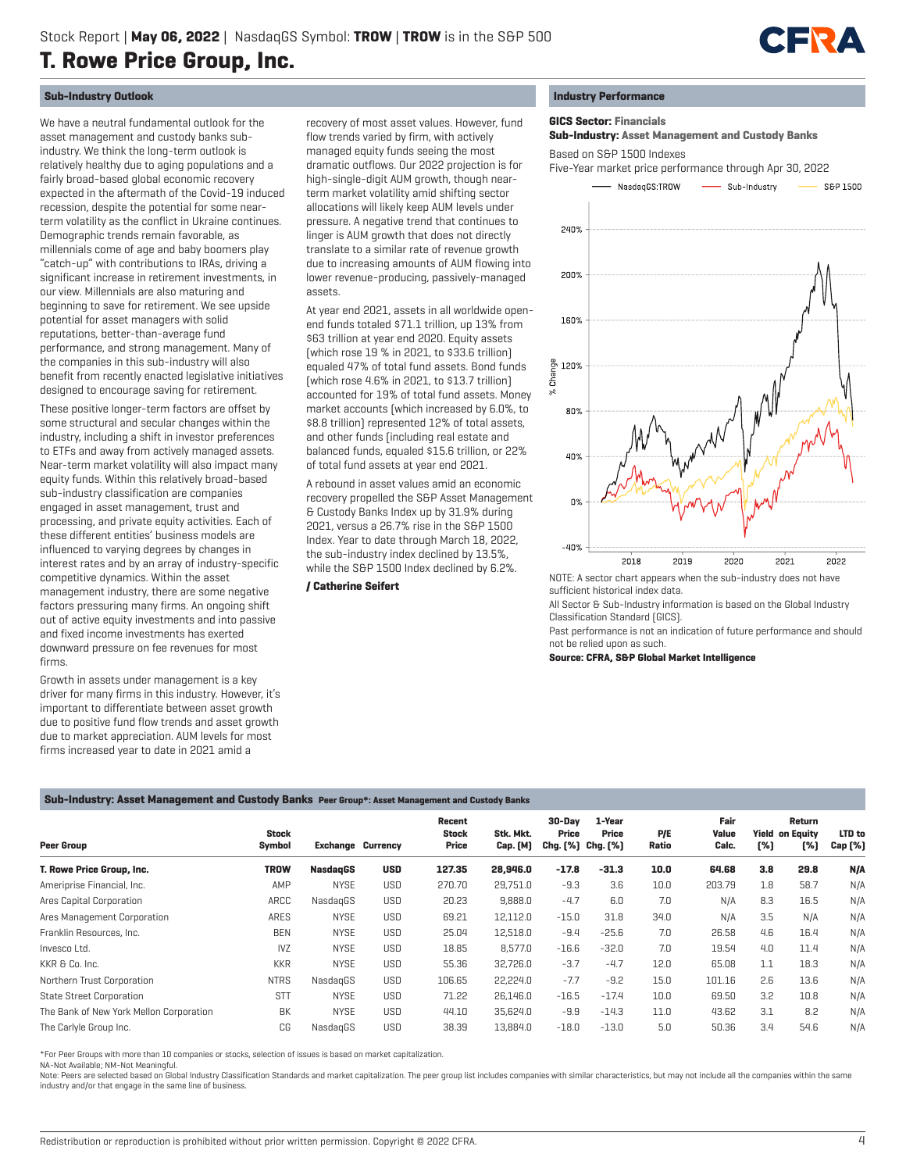

## **Sub-Industry Outlook**

We have a neutral fundamental outlook for the asset management and custody banks subindustry. We think the long-term outlook is relatively healthy due to aging populations and a fairly broad-based global economic recovery expected in the aftermath of the Covid-19 induced recession, despite the potential for some nearterm volatility as the conflict in Ukraine continues. Demographic trends remain favorable, as millennials come of age and baby boomers play "catch-up" with contributions to IRAs, driving a significant increase in retirement investments, in our view. Millennials are also maturing and beginning to save for retirement. We see upside potential for asset managers with solid reputations, better-than-average fund performance, and strong management. Many of the companies in this sub-industry will also benefit from recently enacted legislative initiatives designed to encourage saving for retirement.

These positive longer-term factors are offset by some structural and secular changes within the industry, including a shift in investor preferences to ETFs and away from actively managed assets. Near-term market volatility will also impact many equity funds. Within this relatively broad-based sub-industry classification are companies engaged in asset management, trust and processing, and private equity activities. Each of these different entities' business models are influenced to varying degrees by changes in interest rates and by an array of industry-specific competitive dynamics. Within the asset management industry, there are some negative factors pressuring many firms. An ongoing shift out of active equity investments and into passive and fixed income investments has exerted downward pressure on fee revenues for most firms.

Growth in assets under management is a key driver for many firms in this industry. However, it's important to differentiate between asset growth due to positive fund flow trends and asset growth due to market appreciation. AUM levels for most firms increased year to date in 2021 amid a

recovery of most asset values. However, fund flow trends varied by firm, with actively managed equity funds seeing the most dramatic outflows. Our 2022 projection is for high-single-digit AUM growth, though nearterm market volatility amid shifting sector allocations will likely keep AUM levels under pressure. A negative trend that continues to linger is AUM growth that does not directly translate to a similar rate of revenue growth due to increasing amounts of AUM flowing into lower revenue-producing, passively-managed assets.

At year end 2021, assets in all worldwide openend funds totaled \$71.1 trillion, up 13% from \$63 trillion at year end 2020. Equity assets (which rose 19 % in 2021, to \$33.6 trillion) equaled 47% of total fund assets. Bond funds (which rose 4.6% in 2021, to \$13.7 trillion) accounted for 19% of total fund assets. Money market accounts (which increased by 6.0%, to \$8.8 trillion) represented 12% of total assets, and other funds (including real estate and balanced funds, equaled \$15.6 trillion, or 22% of total fund assets at year end 2021.

A rebound in asset values amid an economic recovery propelled the S&P Asset Management & Custody Banks Index up by 31.9% during 2021, versus a 26.7% rise in the S&P 1500 Index. Year to date through March 18, 2022, the sub-industry index declined by 13.5%, while the S&P 1500 Index declined by 6.2%.

## **/ Catherine Seifert**

## **Industry Performance**

## **GICS Sector: Financials**

 **Sub-Industry: Asset Management and Custody Banks** Based on S&P 1500 Indexes

Five-Year market price performance through Apr 30, 2022



sufficient historical index data.

All Sector & Sub-Industry information is based on the Global Industry Classification Standard (GICS).

Past performance is not an indication of future performance and should not be relied upon as such.

**Source: CFRA, S&P Global Market Intelligence**

## **Sub-Industry: Asset Management and Custody Banks Peer Group\*: Asset Management and Custody Banks**

| Peer Group                              | <b>Stock</b><br>Symbol | <b>Exchange Currency</b> |            | Recent<br><b>Stock</b><br>Price | Stk. Mkt.<br>Cap. [M] | 30-Dav<br>Price<br>Chg. [%] Chg. [%] | 1-Year<br>Price | P/E<br>Ratio | Fair<br>Value<br>Calc. | [%] | Return<br><b>Yield on Equity</b><br>[%] | LTD to<br>Cap [%] |
|-----------------------------------------|------------------------|--------------------------|------------|---------------------------------|-----------------------|--------------------------------------|-----------------|--------------|------------------------|-----|-----------------------------------------|-------------------|
| T. Rowe Price Group, Inc.               | <b>TROW</b>            | <b>NasdagGS</b>          | <b>USD</b> | 127.35                          | 28,946.0              | $-17.8$                              | $-31.3$         | 10.0         | 64.68                  | 3.8 | 29.8                                    | N/A               |
| Ameriprise Financial, Inc.              | AMP                    | <b>NYSE</b>              | <b>USD</b> | 270.70                          | 29,751.0              | $-9.3$                               | 3.6             | 10.0         | 203.79                 | 1.8 | 58.7                                    | N/A               |
| Ares Capital Corporation                | ARCC                   | NasdagGS                 | <b>USD</b> | 20.23                           | 9,888.0               | $-4.7$                               | 6.0             | 7.0          | N/A                    | 8.3 | 16.5                                    | N/A               |
| Ares Management Corporation             | ARES                   | <b>NYSE</b>              | <b>USD</b> | 69.21                           | 12,112.0              | $-15.0$                              | 31.8            | 34.0         | N/A                    | 3.5 | N/A                                     | N/A               |
| Franklin Resources, Inc.                | <b>BEN</b>             | <b>NYSE</b>              | USD        | 25.04                           | 12,518.0              | $-9.4$                               | $-25.6$         | 7.0          | 26.58                  | 4.6 | 16.4                                    | N/A               |
| Invesco Ltd.                            | <b>IVZ</b>             | <b>NYSE</b>              | <b>USD</b> | 18.85                           | 8,577.0               | $-16.6$                              | $-32.0$         | 7.0          | 19.54                  | 4.0 | 11.4                                    | N/A               |
| KKR & Co. Inc.                          | <b>KKR</b>             | <b>NYSE</b>              | USD        | 55.36                           | 32.726.0              | $-3.7$                               | $-4.7$          | 12.0         | 65.08                  | 1.1 | 18.3                                    | N/A               |
| Northern Trust Corporation              | <b>NTRS</b>            | NasdagGS                 | USD        | 106.65                          | 22,224.0              | $-7.7$                               | $-9.2$          | 15.0         | 101.16                 | 2.6 | 13.6                                    | N/A               |
| <b>State Street Corporation</b>         | <b>STT</b>             | <b>NYSE</b>              | USD        | 71.22                           | 26,146.0              | $-16.5$                              | $-17.4$         | 10.0         | 69.50                  | 3.2 | 10.8                                    | N/A               |
| The Bank of New York Mellon Corporation | <b>BK</b>              | <b>NYSE</b>              | USD        | 44.10                           | 35,624.0              | $-9.9$                               | $-14.3$         | 11.0         | 43.62                  | 3.1 | 8.2                                     | N/A               |
| The Carlyle Group Inc.                  | CG                     | NasdagGS                 | USD        | 38.39                           | 13,884.0              | $-18.0$                              | $-13.0$         | 5.0          | 50.36                  | 3.4 | 54.6                                    | N/A               |

\*For Peer Groups with more than 10 companies or stocks, selection of issues is based on market capitalization.

NA-Not Available; NM-Not Meaningful.

Note: Peers are selected based on Global Industry Classification Standards and market capitalization. The peer group list includes companies with similar characteristics, but may not include all the companies within the sa industry and/or that engage in the same line of business.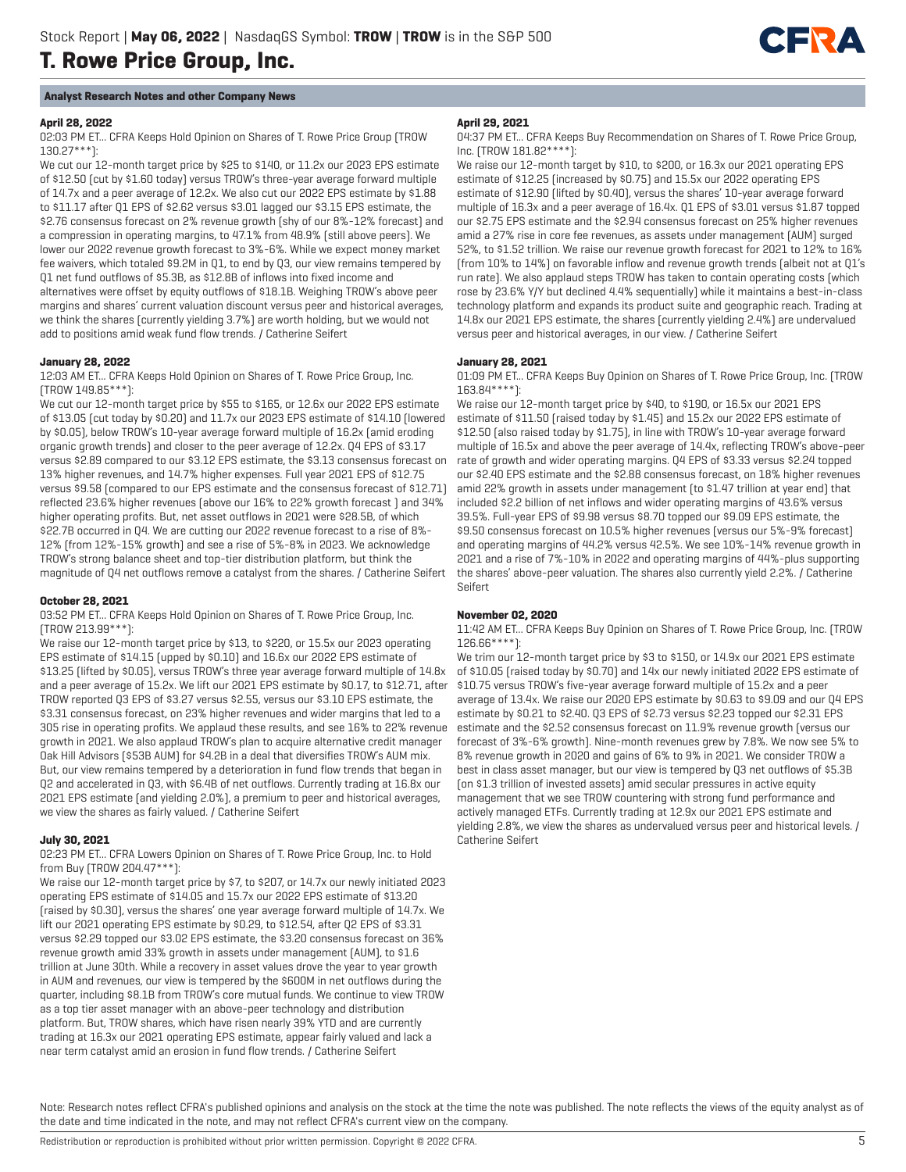

## **April 28, 2022**

02:03 PM ET... CFRA Keeps Hold Opinion on Shares of T. Rowe Price Group (TROW 130.27\*\*\*):

We cut our 12-month target price by \$25 to \$140, or 11.2x our 2023 EPS estimate of \$12.50 (cut by \$1.60 today) versus TROW's three-year average forward multiple of 14.7x and a peer average of 12.2x. We also cut our 2022 EPS estimate by \$1.88 to \$11.17 after Q1 EPS of \$2.62 versus \$3.01 lagged our \$3.15 EPS estimate, the \$2.76 consensus forecast on 2% revenue growth (shy of our 8%-12% forecast) and a compression in operating margins, to 47.1% from 48.9% (still above peers). We lower our 2022 revenue growth forecast to 3%-6%. While we expect money market fee waivers, which totaled \$9.2M in Q1, to end by Q3, our view remains tempered by Q1 net fund outflows of \$5.3B, as \$12.8B of inflows into fixed income and alternatives were offset by equity outflows of \$18.1B. Weighing TROW's above peer margins and shares' current valuation discount versus peer and historical averages, we think the shares (currently yielding 3.7%) are worth holding, but we would not add to positions amid weak fund flow trends. / Catherine Seifert

### **January 28, 2022**

12:03 AM ET... CFRA Keeps Hold Opinion on Shares of T. Rowe Price Group, Inc. (TROW 149.85\*\*\*):

We cut our 12-month target price by \$55 to \$165, or 12.6x our 2022 EPS estimate of \$13.05 (cut today by \$0.20) and 11.7x our 2023 EPS estimate of \$14.10 (lowered by \$0.05), below TROW's 10-year average forward multiple of 16.2x (amid eroding organic growth trends) and closer to the peer average of 12.2x. Q4 EPS of \$3.17 versus \$2.89 compared to our \$3.12 EPS estimate, the \$3.13 consensus forecast on 13% higher revenues, and 14.7% higher expenses. Full year 2021 EPS of \$12.75 versus \$9.58 (compared to our EPS estimate and the consensus forecast of \$12.71) reflected 23.6% higher revenues (above our 16% to 22% growth forecast ) and 34% higher operating profits. But, net asset outflows in 2021 were \$28.5B, of which \$22.7B occurred in Q4. We are cutting our 2022 revenue forecast to a rise of 8%- 12% (from 12%-15% growth) and see a rise of 5%-8% in 2023. We acknowledge TROW's strong balance sheet and top-tier distribution platform, but think the magnitude of Q4 net outflows remove a catalyst from the shares. / Catherine Seifert

## **October 28, 2021**

03:52 PM ET... CFRA Keeps Hold Opinion on Shares of T. Rowe Price Group, Inc. (TROW 213.99\*\*\*):

We raise our 12-month target price by \$13, to \$220, or 15.5x our 2023 operating EPS estimate of \$14.15 (upped by \$0.10) and 16.6x our 2022 EPS estimate of \$13.25 (lifted by \$0.05), versus TROW's three year average forward multiple of 14.8x and a peer average of 15.2x. We lift our 2021 EPS estimate by \$0.17, to \$12.71, after TROW reported Q3 EPS of \$3.27 versus \$2.55, versus our \$3.10 EPS estimate, the \$3.31 consensus forecast, on 23% higher revenues and wider margins that led to a 305 rise in operating profits. We applaud these results, and see 16% to 22% revenue growth in 2021. We also applaud TROW's plan to acquire alternative credit manager Oak Hill Advisors (\$53B AUM) for \$4.2B in a deal that diversifies TROW's AUM mix. But, our view remains tempered by a deterioration in fund flow trends that began in Q2 and accelerated in Q3, with \$6.4B of net outflows. Currently trading at 16.8x our 2021 EPS estimate (and yielding 2.0%), a premium to peer and historical averages, we view the shares as fairly valued. / Catherine Seifert

## **July 30, 2021**

#### 02:23 PM ET... CFRA Lowers Opinion on Shares of T. Rowe Price Group, Inc. to Hold from Buy (TROW 204.47\*\*\*):

We raise our 12-month target price by \$7, to \$207, or 14.7x our newly initiated 2023 operating EPS estimate of \$14.05 and 15.7x our 2022 EPS estimate of \$13.20 (raised by \$0.30), versus the shares' one year average forward multiple of 14.7x. We lift our 2021 operating EPS estimate by \$0.29, to \$12.54, after Q2 EPS of \$3.31 versus \$2.29 topped our \$3.02 EPS estimate, the \$3.20 consensus forecast on 36% revenue growth amid 33% growth in assets under management (AUM), to \$1.6 trillion at June 30th. While a recovery in asset values drove the year to year growth in AUM and revenues, our view is tempered by the \$600M in net outflows during the quarter, including \$8.1B from TROW's core mutual funds. We continue to view TROW as a top tier asset manager with an above-peer technology and distribution platform. But, TROW shares, which have risen nearly 39% YTD and are currently trading at 16.3x our 2021 operating EPS estimate, appear fairly valued and lack a near term catalyst amid an erosion in fund flow trends. / Catherine Seifert

#### **April 29, 2021**

04:37 PM ET... CFRA Keeps Buy Recommendation on Shares of T. Rowe Price Group, Inc. (TROW 181.82\*\*\*\*):

CIERA

We raise our 12-month target by \$10, to \$200, or 16.3x our 2021 operating EPS estimate of \$12.25 (increased by \$0.75) and 15.5x our 2022 operating EPS estimate of \$12.90 (lifted by \$0.40), versus the shares' 10-year average forward multiple of 16.3x and a peer average of 16.4x. Q1 EPS of \$3.01 versus \$1.87 topped our \$2.75 EPS estimate and the \$2.94 consensus forecast on 25% higher revenues amid a 27% rise in core fee revenues, as assets under management (AUM) surged 52%, to \$1.52 trillion. We raise our revenue growth forecast for 2021 to 12% to 16% (from 10% to 14%) on favorable inflow and revenue growth trends (albeit not at Q1's run rate). We also applaud steps TROW has taken to contain operating costs (which rose by 23.6% Y/Y but declined 4.4% sequentially) while it maintains a best-in-class technology platform and expands its product suite and geographic reach. Trading at 14.8x our 2021 EPS estimate, the shares (currently yielding 2.4%) are undervalued versus peer and historical averages, in our view. / Catherine Seifert

#### **January 28, 2021**

01:09 PM ET... CFRA Keeps Buy Opinion on Shares of T. Rowe Price Group, Inc. (TROW 163.84\*\*\*\*):

We raise our 12-month target price by \$40, to \$190, or 16.5x our 2021 EPS estimate of \$11.50 (raised today by \$1.45) and 15.2x our 2022 EPS estimate of \$12.50 (also raised today by \$1.75), in line with TROW's 10-year average forward multiple of 16.5x and above the peer average of 14.4x, reflecting TROW's above-peer rate of growth and wider operating margins. Q4 EPS of \$3.33 versus \$2.24 topped our \$2.40 EPS estimate and the \$2.88 consensus forecast, on 18% higher revenues amid 22% growth in assets under management (to \$1.47 trillion at year end) that included \$2.2 billion of net inflows and wider operating margins of 43.6% versus 39.5%. Full-year EPS of \$9.98 versus \$8.70 topped our \$9.09 EPS estimate, the \$9.50 consensus forecast on 10.5% higher revenues (versus our 5%-9% forecast) and operating margins of 44.2% versus 42.5%. We see 10%-14% revenue growth in 2021 and a rise of 7%-10% in 2022 and operating margins of 44%-plus supporting the shares' above-peer valuation. The shares also currently yield 2.2%. / Catherine Seifert

### **November 02, 2020**

11:42 AM ET... CFRA Keeps Buy Opinion on Shares of T. Rowe Price Group, Inc. (TROW 126.66\*\*\*\*):

We trim our 12-month target price by \$3 to \$150, or 14.9x our 2021 EPS estimate of \$10.05 (raised today by \$0.70) and 14x our newly initiated 2022 EPS estimate of \$10.75 versus TROW's five-year average forward multiple of 15.2x and a peer average of 13.4x. We raise our 2020 EPS estimate by \$0.63 to \$9.09 and our Q4 EPS estimate by \$0.21 to \$2.40. Q3 EPS of \$2.73 versus \$2.23 topped our \$2.31 EPS estimate and the \$2.52 consensus forecast on 11.9% revenue growth (versus our forecast of 3%-6% growth). Nine-month revenues grew by 7.8%. We now see 5% to 8% revenue growth in 2020 and gains of 6% to 9% in 2021. We consider TROW a best in class asset manager, but our view is tempered by Q3 net outflows of \$5.3B (on \$1.3 trillion of invested assets) amid secular pressures in active equity management that we see TROW countering with strong fund performance and actively managed ETFs. Currently trading at 12.9x our 2021 EPS estimate and yielding 2.8%, we view the shares as undervalued versus peer and historical levels. / Catherine Seifert

Note: Research notes reflect CFRA's published opinions and analysis on the stock at the time the note was published. The note reflects the views of the equity analyst as of the date and time indicated in the note, and may not reflect CFRA's current view on the company.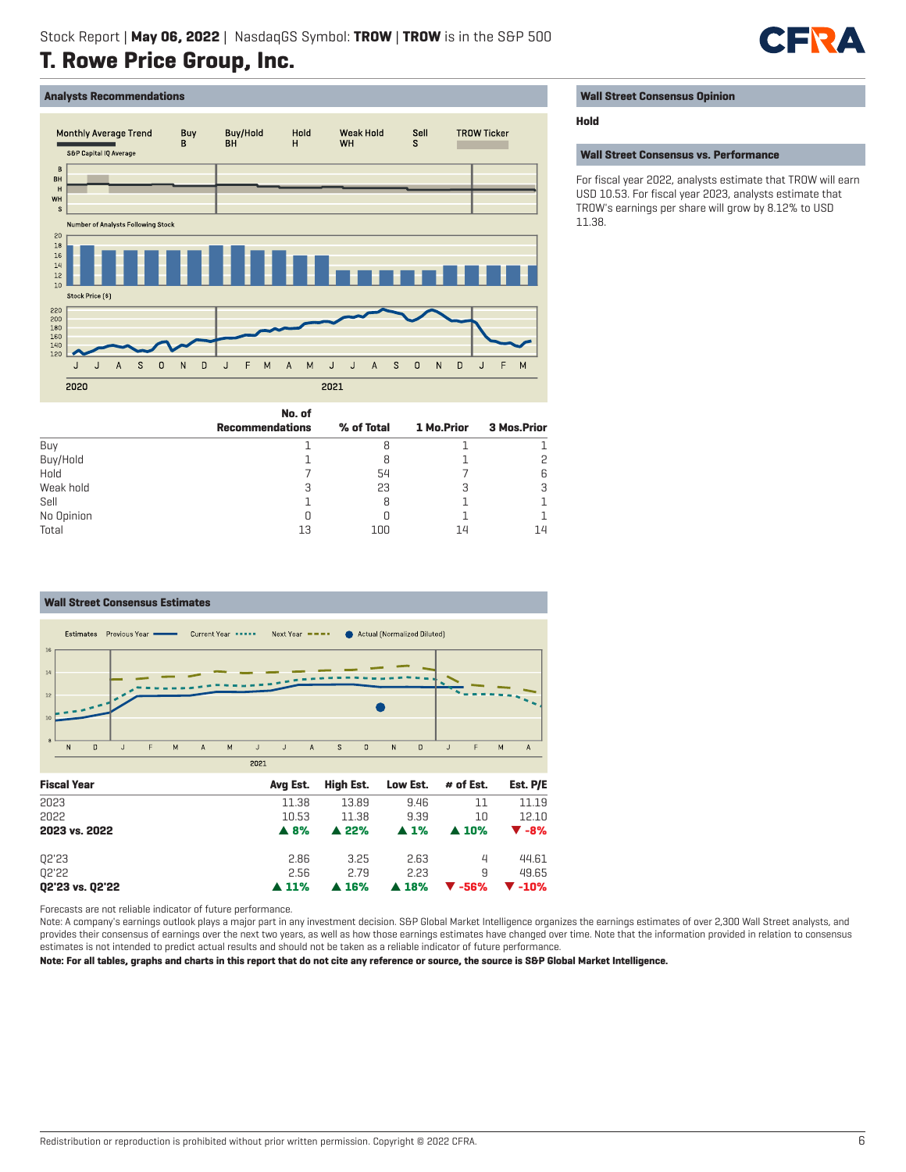## **Analysts Recommendations**



## **Wall Street Consensus Opinion**

## **Hold**

### **Wall Street Consensus vs. Performance**

For fiscal year 2022, analysts estimate that TROW will earn USD 10.53. For fiscal year 2023, analysts estimate that TROW's earnings per share will grow by 8.12% to USD 11.38.

**CIEN** 

|            | <b>Recommendations</b> | % of Total | 1 Mo.Prior | <b>3 Mos.Prior</b> |
|------------|------------------------|------------|------------|--------------------|
| Buy        |                        |            |            |                    |
| Buy/Hold   |                        |            |            | 2                  |
| Hold       |                        | 54         |            | 6                  |
| Weak hold  |                        | 23         | 3          | 3                  |
| Sell       |                        |            |            |                    |
| No Opinion |                        |            |            |                    |
| Total      | 13                     | 100        | 14         | 14                 |

**No. of**



Forecasts are not reliable indicator of future performance.

Note: A company's earnings outlook plays a major part in any investment decision. S&P Global Market Intelligence organizes the earnings estimates of over 2,300 Wall Street analysts, and provides their consensus of earnings over the next two years, as well as how those earnings estimates have changed over time. Note that the information provided in relation to consensus estimates is not intended to predict actual results and should not be taken as a reliable indicator of future performance.

**Note: For all tables, graphs and charts in this report that do not cite any reference or source, the source is S&P Global Market Intelligence.**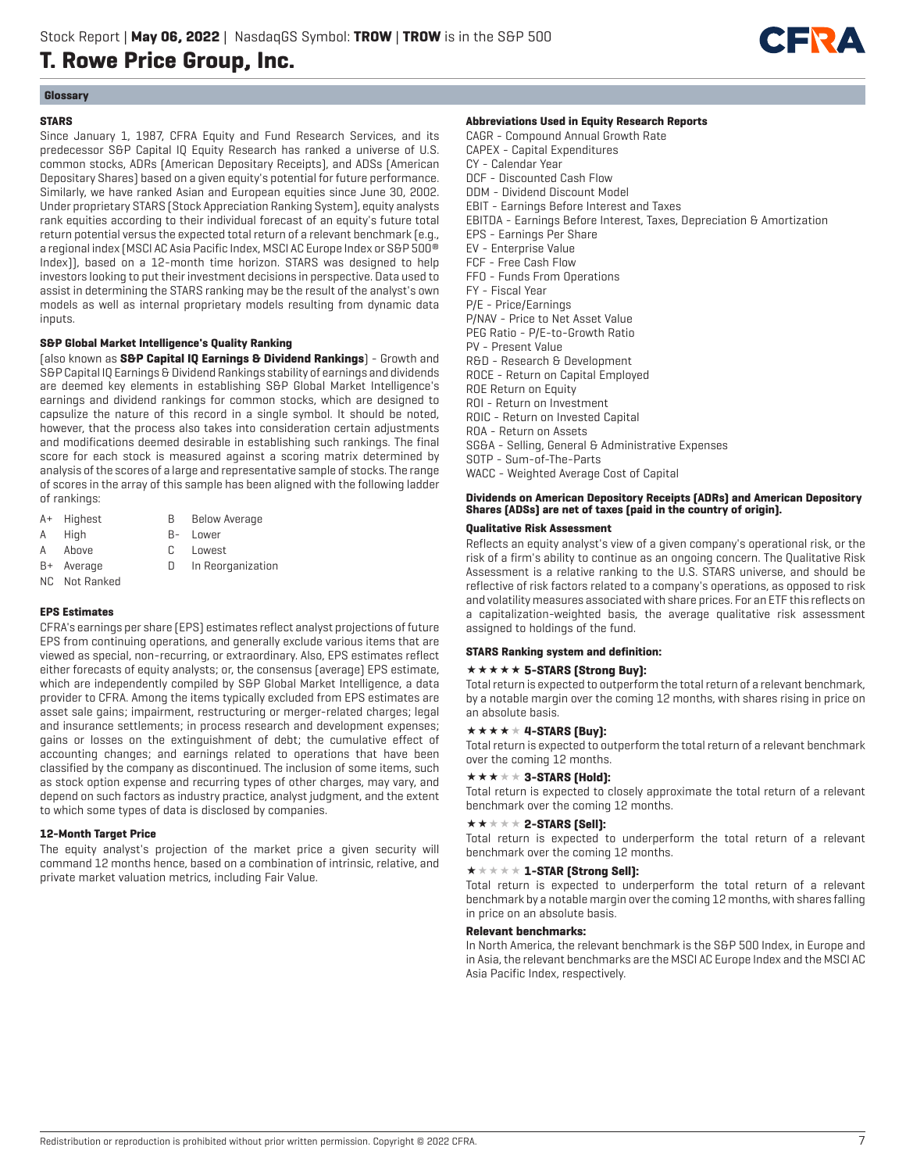

## **Glossary**

## **STARS**

Since January 1, 1987, CFRA Equity and Fund Research Services, and its predecessor S&P Capital IQ Equity Research has ranked a universe of U.S. common stocks, ADRs (American Depositary Receipts), and ADSs (American Depositary Shares) based on a given equity's potential for future performance. Similarly, we have ranked Asian and European equities since June 30, 2002. Under proprietary STARS (Stock Appreciation Ranking System), equity analysts rank equities according to their individual forecast of an equity's future total return potential versus the expected total return of a relevant benchmark (e.g., a regional index (MSCI AC Asia Pacific Index, MSCI AC Europe Index or S&P 500® Index)), based on a 12-month time horizon. STARS was designed to help investors looking to put their investment decisions in perspective. Data used to assist in determining the STARS ranking may be the result of the analyst's own models as well as internal proprietary models resulting from dynamic data inputs.

## **S&P Global Market Intelligence's Quality Ranking**

(also known as **S&P Capital IQ Earnings & Dividend Rankings**) - Growth and S&P Capital IQ Earnings & Dividend Rankings stability of earnings and dividends are deemed key elements in establishing S&P Global Market Intelligence's earnings and dividend rankings for common stocks, which are designed to capsulize the nature of this record in a single symbol. It should be noted, however, that the process also takes into consideration certain adjustments and modifications deemed desirable in establishing such rankings. The final score for each stock is measured against a scoring matrix determined by analysis of the scores of a large and representative sample of stocks. The range of scores in the array of this sample has been aligned with the following ladder of rankings:

- A+ Highest B Below Average
- A High B- Lower
- A Above C Lowest
- 
- B+ Average D In Reorganization
- NC Not Ranked

## **EPS Estimates**

CFRA's earnings per share (EPS) estimates reflect analyst projections of future EPS from continuing operations, and generally exclude various items that are viewed as special, non-recurring, or extraordinary. Also, EPS estimates reflect either forecasts of equity analysts; or, the consensus (average) EPS estimate, which are independently compiled by S&P Global Market Intelligence, a data provider to CFRA. Among the items typically excluded from EPS estimates are asset sale gains; impairment, restructuring or merger-related charges; legal and insurance settlements; in process research and development expenses; gains or losses on the extinguishment of debt; the cumulative effect of accounting changes; and earnings related to operations that have been classified by the company as discontinued. The inclusion of some items, such as stock option expense and recurring types of other charges, may vary, and depend on such factors as industry practice, analyst judgment, and the extent to which some types of data is disclosed by companies.

## **12-Month Target Price**

The equity analyst's projection of the market price a given security will command 12 months hence, based on a combination of intrinsic, relative, and private market valuation metrics, including Fair Value.

### **Abbreviations Used in Equity Research Reports**

CAGR - Compound Annual Growth Rate CAPEX - Capital Expenditures CY - Calendar Year DCF - Discounted Cash Flow DDM - Dividend Discount Model EBIT - Earnings Before Interest and Taxes EBITDA - Earnings Before Interest, Taxes, Depreciation & Amortization EPS - Earnings Per Share EV - Enterprise Value FCF - Free Cash Flow FFO - Funds From Operations FY - Fiscal Year P/E - Price/Earnings P/NAV - Price to Net Asset Value PEG Ratio - P/E-to-Growth Ratio PV - Present Value R&D - Research & Development ROCE - Return on Capital Employed ROE Return on Equity ROI - Return on Investment ROIC - Return on Invested Capital ROA - Return on Assets SG&A - Selling, General & Administrative Expenses SOTP - Sum-of-The-Parts WACC - Weighted Average Cost of Capital

## **Dividends on American Depository Receipts (ADRs) and American Depository Shares (ADSs) are net of taxes (paid in the country of origin).**

## **Qualitative Risk Assessment**

Reflects an equity analyst's view of a given company's operational risk, or the risk of a firm's ability to continue as an ongoing concern. The Qualitative Risk Assessment is a relative ranking to the U.S. STARS universe, and should be reflective of risk factors related to a company's operations, as opposed to risk and volatility measures associated with share prices. For an ETF this reflects on a capitalization-weighted basis, the average qualitative risk assessment assigned to holdings of the fund.

### **STARS Ranking system and definition:**

### **\*\*\*\*\* 5-STARS (Strong Buy):**

Total return is expected to outperform the total return of a relevant benchmark, by a notable margin over the coming 12 months, with shares rising in price on an absolute basis.

## $\star \star \star \star \star 4$ -STARS [Buy]:

Total return is expected to outperform the total return of a relevant benchmark over the coming 12 months.

## $\star \star \star \star \star 3$ -STARS (Hold):

Total return is expected to closely approximate the total return of a relevant benchmark over the coming 12 months.

#### $\star\star\star\star\star$  2-STARS [Sell]:

Total return is expected to underperform the total return of a relevant benchmark over the coming 12 months.

#### $\star \star \star \star \star \mathbf{1}$ -STAR (Strong Sell):

Total return is expected to underperform the total return of a relevant benchmark by a notable margin over the coming 12 months, with shares falling in price on an absolute basis.

## **Relevant benchmarks:**

In North America, the relevant benchmark is the S&P 500 Index, in Europe and in Asia, the relevant benchmarks are the MSCI AC Europe Index and the MSCI AC Asia Pacific Index, respectively.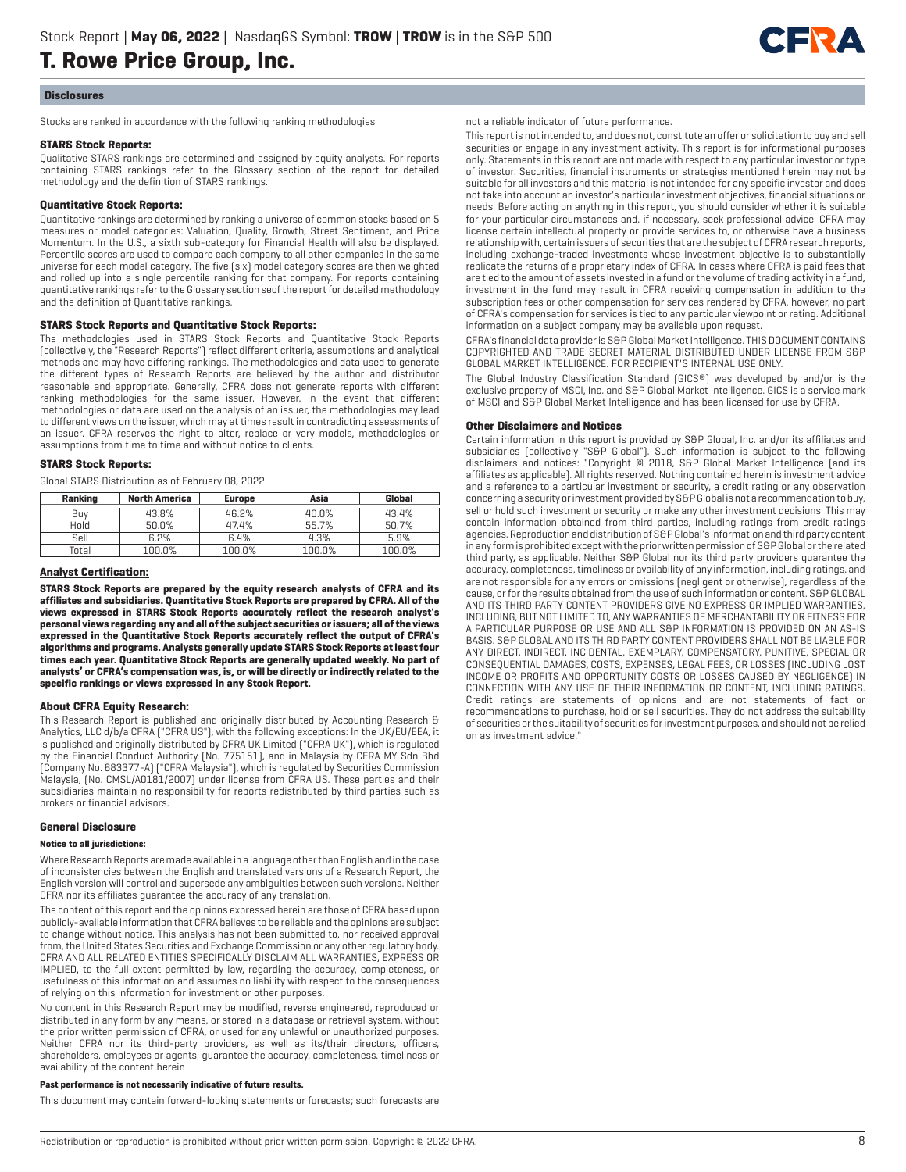

#### **Disclosures**

Stocks are ranked in accordance with the following ranking methodologies:

#### **STARS Stock Reports:**

Qualitative STARS rankings are determined and assigned by equity analysts. For reports containing STARS rankings refer to the Glossary section of the report for detailed methodology and the definition of STARS rankings.

### **Quantitative Stock Reports:**

Quantitative rankings are determined by ranking a universe of common stocks based on 5 measures or model categories: Valuation, Quality, Growth, Street Sentiment, and Price Momentum. In the U.S., a sixth sub-category for Financial Health will also be displayed. Percentile scores are used to compare each company to all other companies in the same universe for each model category. The five (six) model category scores are then weighted and rolled up into a single percentile ranking for that company. For reports containing quantitative rankings refer to the Glossary section seof the report for detailed methodology and the definition of Quantitative rankings.

## **STARS Stock Reports and Quantitative Stock Reports:**

The methodologies used in STARS Stock Reports and Quantitative Stock Reports (collectively, the "Research Reports") reflect different criteria, assumptions and analytical methods and may have differing rankings. The methodologies and data used to generate the different types of Research Reports are believed by the author and distributor reasonable and appropriate. Generally, CFRA does not generate reports with different ranking methodologies for the same issuer. However, in the event that different methodologies or data are used on the analysis of an issuer, the methodologies may lead to different views on the issuer, which may at times result in contradicting assessments of an issuer. CFRA reserves the right to alter, replace or vary models, methodologies or assumptions from time to time and without notice to clients.

#### **STARS Stock Reports:**

Global STARS Distribution as of February 08, 2022

| Ranking | <b>North America</b> | <b>Europe</b> | Asia   | Global |
|---------|----------------------|---------------|--------|--------|
| Buv     | 43.8%                | 46.2%         | 40.0%  | 43.4%  |
| Hold    | 50.0%                | 47.4%         | 55.7%  | 50.7%  |
| Sell    | 6.2%                 | 6.4%          | 4.3%   | 5.9%   |
| Total   | 100.0%               | 100.0%        | 100.0% | 100.0% |

#### **Analyst Certification:**

**STARS Stock Reports are prepared by the equity research analysts of CFRA and its affiliates and subsidiaries. Quantitative Stock Reports are prepared by CFRA. All of the views expressed in STARS Stock Reports accurately reflect the research analyst's personal views regarding any and all of the subject securities or issuers; all of the views expressed in the Quantitative Stock Reports accurately reflect the output of CFRA's algorithms and programs. Analysts generally update STARS Stock Reports at least four times each year. Quantitative Stock Reports are generally updated weekly. No part of analysts' or CFRA's compensation was, is, or will be directly or indirectly related to the specific rankings or views expressed in any Stock Report.**

### **About CFRA Equity Research:**

This Research Report is published and originally distributed by Accounting Research & Analytics, LLC d/b/a CFRA ("CFRA US"), with the following exceptions: In the UK/EU/EEA, it is published and originally distributed by CFRA UK Limited ("CFRA UK"), which is regulated by the Financial Conduct Authority (No. 775151), and in Malaysia by CFRA MY Sdn Bhd (Company No. 683377-A) ("CFRA Malaysia"), which is regulated by Securities Commission Malaysia, (No. CMSL/A0181/2007) under license from CFRA US. These parties and their subsidiaries maintain no responsibility for reports redistributed by third parties such as brokers or financial advisors.

#### **General Disclosure**

#### **Notice to all jurisdictions:**

Where Research Reports are made available in a language other than English and in the case of inconsistencies between the English and translated versions of a Research Report, the English version will control and supersede any ambiguities between such versions. Neither CFRA nor its affiliates guarantee the accuracy of any translation.

The content of this report and the opinions expressed herein are those of CFRA based upon publicly-available information that CFRA believes to be reliable and the opinions are subject to change without notice. This analysis has not been submitted to, nor received approval from, the United States Securities and Exchange Commission or any other regulatory body. CFRA AND ALL RELATED ENTITIES SPECIFICALLY DISCLAIM ALL WARRANTIES, EXPRESS OR IMPLIED, to the full extent permitted by law, regarding the accuracy, completeness, or usefulness of this information and assumes no liability with respect to the consequences of relying on this information for investment or other purposes.

No content in this Research Report may be modified, reverse engineered, reproduced or distributed in any form by any means, or stored in a database or retrieval system, without the prior written permission of CFRA, or used for any unlawful or unauthorized purposes. Neither CFRA nor its third-party providers, as well as its/their directors, officers, shareholders, employees or agents, guarantee the accuracy, completeness, timeliness or availability of the content herein

#### **Past performance is not necessarily indicative of future results.**

This document may contain forward-looking statements or forecasts; such forecasts are

not a reliable indicator of future performance.

This report is not intended to, and does not, constitute an offer or solicitation to buy and sell securities or engage in any investment activity. This report is for informational purposes only. Statements in this report are not made with respect to any particular investor or type of investor. Securities, financial instruments or strategies mentioned herein may not be suitable for all investors and this material is not intended for any specific investor and does not take into account an investor's particular investment objectives, financial situations or needs. Before acting on anything in this report, you should consider whether it is suitable for your particular circumstances and, if necessary, seek professional advice. CFRA may license certain intellectual property or provide services to, or otherwise have a business relationship with, certain issuers of securities that are the subject of CFRA research reports, including exchange-traded investments whose investment objective is to substantially replicate the returns of a proprietary index of CFRA. In cases where CFRA is paid fees that are tied to the amount of assets invested in a fund or the volume of trading activity in a fund, investment in the fund may result in CFRA receiving compensation in addition to the subscription fees or other compensation for services rendered by CFRA, however, no part of CFRA's compensation for services is tied to any particular viewpoint or rating. Additional information on a subject company may be available upon request.

CFRA's financial data provider is S&P Global Market Intelligence. THIS DOCUMENT CONTAINS COPYRIGHTED AND TRADE SECRET MATERIAL DISTRIBUTED UNDER LICENSE FROM S&P GLOBAL MARKET INTELLIGENCE. FOR RECIPIENT'S INTERNAL USE ONLY.

The Global Industry Classification Standard (GICS®) was developed by and/or is the exclusive property of MSCI, Inc. and S&P Global Market Intelligence. GICS is a service mark of MSCI and S&P Global Market Intelligence and has been licensed for use by CFRA.

#### **Other Disclaimers and Notices**

Certain information in this report is provided by S&P Global, Inc. and/or its affiliates and subsidiaries (collectively "S&P Global"). Such information is subject to the following disclaimers and notices: "Copyright © 2018, S&P Global Market Intelligence (and its affiliates as applicable). All rights reserved. Nothing contained herein is investment advice and a reference to a particular investment or security, a credit rating or any observation concerning a security or investment provided by S&P Global is not a recommendation to buy, sell or hold such investment or security or make any other investment decisions. This may contain information obtained from third parties, including ratings from credit ratings agencies. Reproduction and distribution of S&P Global's information and third party content in any form is prohibited except with the prior written permission of S&P Global or the related third party, as applicable. Neither S&P Global nor its third party providers guarantee the accuracy, completeness, timeliness or availability of any information, including ratings, and are not responsible for any errors or omissions (negligent or otherwise), regardless of the cause, or for the results obtained from the use of such information or content. S&P GLOBAL AND ITS THIRD PARTY CONTENT PROVIDERS GIVE NO EXPRESS OR IMPLIED WARRANTIES, INCLUDING, BUT NOT LIMITED TO, ANY WARRANTIES OF MERCHANTABILITY OR FITNESS FOR A PARTICULAR PURPOSE OR USE AND ALL S&P INFORMATION IS PROVIDED ON AN AS-IS BASIS. S&P GLOBAL AND ITS THIRD PARTY CONTENT PROVIDERS SHALL NOT BE LIABLE FOR ANY DIRECT, INDIRECT, INCIDENTAL, EXEMPLARY, COMPENSATORY, PUNITIVE, SPECIAL OR CONSEQUENTIAL DAMAGES, COSTS, EXPENSES, LEGAL FEES, OR LOSSES (INCLUDING LOST INCOME OR PROFITS AND OPPORTUNITY COSTS OR LOSSES CAUSED BY NEGLIGENCE) IN CONNECTION WITH ANY USE OF THEIR INFORMATION OR CONTENT, INCLUDING RATINGS. Credit ratings are statements of opinions and are not statements of fact or recommendations to purchase, hold or sell securities. They do not address the suitability of securities or the suitability of securities for investment purposes, and should not be relied on as investment advice."